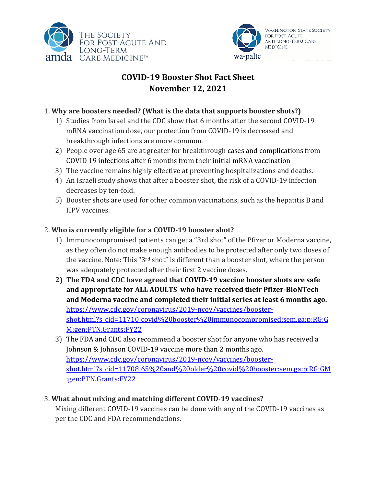



# **COVID-19 Booster Shot Fact Sheet November 12, 2021**

#### 1. Why are boosters needed? (What is the data that supports booster shots?)

- 1) Studies from Israel and the CDC show that 6 months after the second COVID-19 mRNA vaccination dose, our protection from COVID-19 is decreased and breakthrough infections are more common.
- 2) People over age 65 are at greater for breakthrough cases and complications from COVID 19 infections after 6 months from their initial mRNA vaccination
- 3) The vaccine remains highly effective at preventing hospitalizations and deaths.
- 4) An Israeli study shows that after a booster shot, the risk of a COVID-19 infection decreases by ten-fold.
- 5) Booster shots are used for other common vaccinations, such as the hepatitis B and HPV vaccines.

#### 2. Who is currently eligible for a COVID-19 booster shot?

- 1) Immunocompromised patients can get a "3rd shot" of the Pfizer or Moderna vaccine, as they often do not make enough antibodies to be protected after only two doses of the vaccine. Note: This "3<sup>rd</sup> shot" is different than a booster shot, where the person was adequately protected after their first 2 vaccine doses.
- 2) The FDA and CDC have agreed that COVID-19 vaccine booster shots are safe **and appropriate for ALL ADULTS who have received their Pfizer-BioNTech** and Moderna vaccine and completed their initial series at least 6 months ago. https://www.cdc.gov/coronavirus/2019-ncov/vaccines/boostershot.html?s\_cid=11710:covid%20booster%20immunocompromised:sem.ga:p:RG:G M:gen:PTN.Grants:FY22
- 3) The FDA and CDC also recommend a booster shot for anyone who has received a Johnson & Johnson COVID-19 vaccine more than 2 months ago. https://www.cdc.gov/coronavirus/2019-ncov/vaccines/boostershot.html?s\_cid=11708:65%20and%20older%20covid%20booster:sem.ga:p:RG:GM :gen:PTN.Grants:FY22

### 3. **What about mixing and matching different COVID-19 vaccines?**

Mixing different COVID-19 vaccines can be done with any of the COVID-19 vaccines as per the CDC and FDA recommendations.